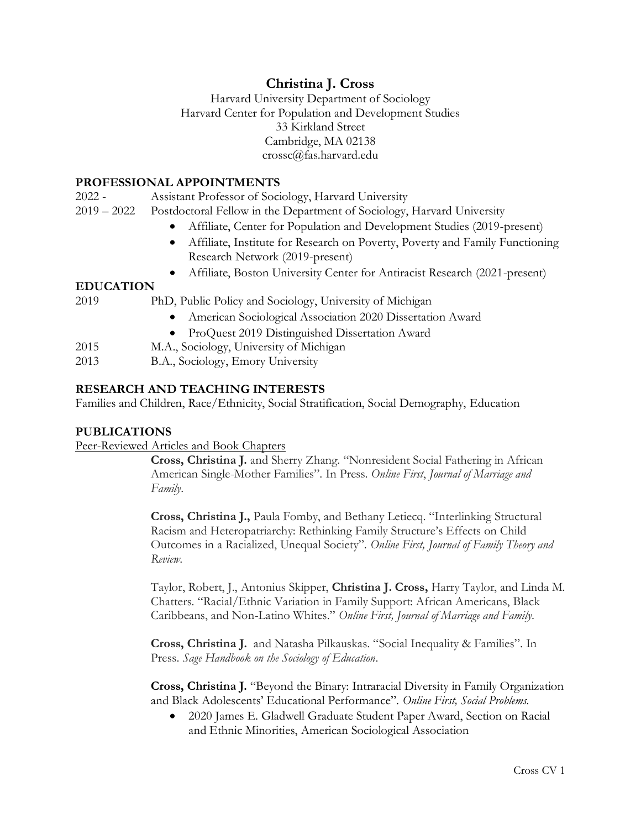### **Christina J. Cross**

Harvard University Department of Sociology Harvard Center for Population and Development Studies 33 Kirkland Street Cambridge, MA 02138 crossc@fas.harvard.edu

### **PROFESSIONAL APPOINTMENTS**

2022 - Assistant Professor of Sociology, Harvard University

- 2019 2022 Postdoctoral Fellow in the Department of Sociology, Harvard University
	- Affiliate, Center for Population and Development Studies (2019-present)
	- Affiliate, Institute for Research on Poverty, Poverty and Family Functioning Research Network (2019-present)
	- Affiliate, Boston University Center for Antiracist Research (2021-present)

### **EDUCATION**

| 2019 |  |  | PhD, Public Policy and Sociology, University of Michigan |
|------|--|--|----------------------------------------------------------|
|------|--|--|----------------------------------------------------------|

- American Sociological Association 2020 Dissertation Award
- ProQuest 2019 Distinguished Dissertation Award
- 2015 M.A., Sociology, University of Michigan
- 2013 B.A., Sociology, Emory University

### **RESEARCH AND TEACHING INTERESTS**

Families and Children, Race/Ethnicity, Social Stratification, Social Demography, Education

### **PUBLICATIONS**

#### Peer-Reviewed Articles and Book Chapters

**Cross, Christina J.** and Sherry Zhang. "Nonresident Social Fathering in African American Single-Mother Families". In Press. *Online First*, *Journal of Marriage and Family*.

**Cross, Christina J.,** Paula Fomby, and Bethany Letiecq. "Interlinking Structural Racism and Heteropatriarchy: Rethinking Family Structure's Effects on Child Outcomes in a Racialized, Unequal Society". *Online First, Journal of Family Theory and Review*.

Taylor, Robert, J., Antonius Skipper, **Christina J. Cross,** Harry Taylor, and Linda M. Chatters. "Racial/Ethnic Variation in Family Support: African Americans, Black Caribbeans, and Non-Latino Whites." *Online First, Journal of Marriage and Family*.

**Cross, Christina J.** and Natasha Pilkauskas. "Social Inequality & Families". In Press. *Sage Handbook on the Sociology of Education*.

**Cross, Christina J.** "Beyond the Binary: Intraracial Diversity in Family Organization and Black Adolescents' Educational Performance". *Online First, Social Problems.*

• 2020 James E. Gladwell Graduate Student Paper Award, Section on Racial and Ethnic Minorities, American Sociological Association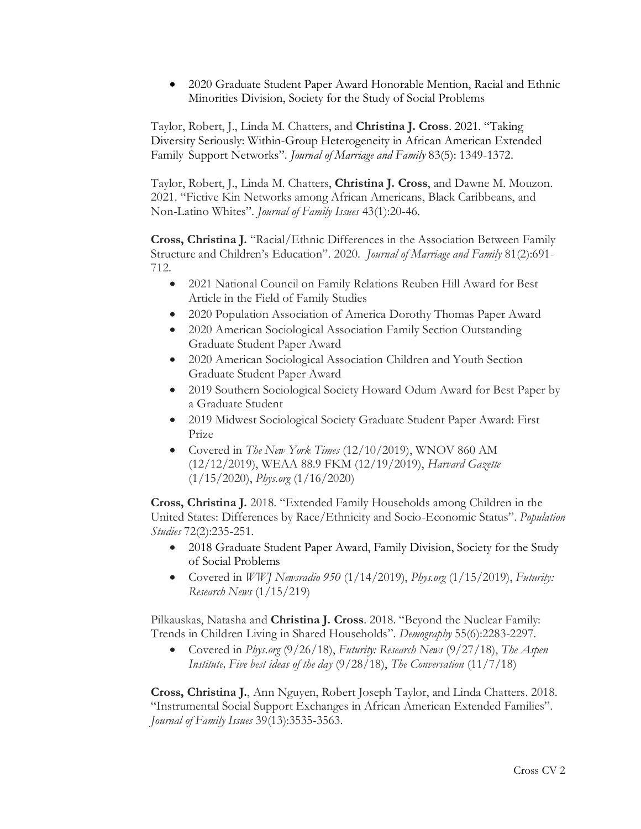• 2020 Graduate Student Paper Award Honorable Mention, Racial and Ethnic Minorities Division, Society for the Study of Social Problems

Taylor, Robert, J., Linda M. Chatters, and **Christina J. Cross**. 2021. "Taking Diversity Seriously: Within-Group Heterogeneity in African American Extended Family Support Networks". *Journal of Marriage and Family* 83(5): 1349-1372.

Taylor, Robert, J., Linda M. Chatters, **Christina J. Cross**, and Dawne M. Mouzon. 2021. "Fictive Kin Networks among African Americans, Black Caribbeans, and Non-Latino Whites". *Journal of Family Issues* 43(1):20-46.

**Cross, Christina J.** "Racial/Ethnic Differences in the Association Between Family Structure and Children's Education". 2020. *Journal of Marriage and Family* 81(2):691- 712.

- 2021 National Council on Family Relations Reuben Hill Award for Best Article in the Field of Family Studies
- 2020 Population Association of America Dorothy Thomas Paper Award
- 2020 American Sociological Association Family Section Outstanding Graduate Student Paper Award
- 2020 American Sociological Association Children and Youth Section Graduate Student Paper Award
- 2019 Southern Sociological Society Howard Odum Award for Best Paper by a Graduate Student
- 2019 Midwest Sociological Society Graduate Student Paper Award: First Prize
- Covered in *The New York Times* (12/10/2019), WNOV 860 AM (12/12/2019), WEAA 88.9 FKM (12/19/2019), *Harvard Gazette* (1/15/2020), *Phys.org* (1/16/2020)

**Cross, Christina J.** 2018. "Extended Family Households among Children in the United States: Differences by Race/Ethnicity and Socio-Economic Status". *Population Studies* 72(2):235-251.

- 2018 Graduate Student Paper Award, Family Division, Society for the Study of Social Problems
- Covered in *WWJ Newsradio 950* (1/14/2019), *Phys.org* (1/15/2019), *Futurity: Research News* (1/15/219)

Pilkauskas, Natasha and **Christina J. Cross**. 2018. "Beyond the Nuclear Family: Trends in Children Living in Shared Households". *Demography* 55(6):2283-2297.

• Covered in *Phys.org* (9/26/18), *Futurity: Research News* (9/27/18), *The Aspen Institute, Five best ideas of the day* (9/28/18), *The Conversation* (11/7/18)

**Cross, Christina J.**, Ann Nguyen, Robert Joseph Taylor, and Linda Chatters. 2018. "Instrumental Social Support Exchanges in African American Extended Families". *Journal of Family Issues* 39(13):3535-3563.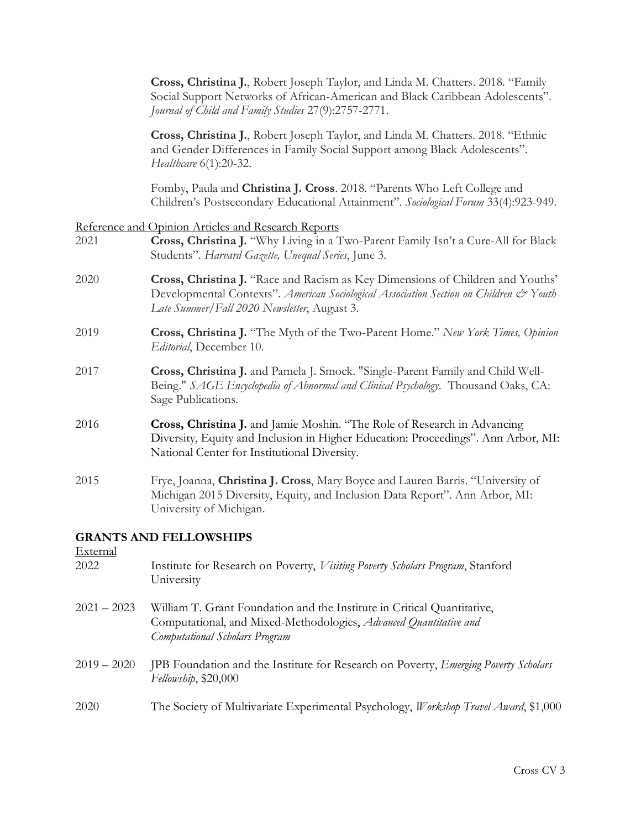**Cross, Christina J.**, Robert Joseph Taylor, and Linda M. Chatters. 2018. "Family Social Support Networks of African-American and Black Caribbean Adolescents". *Journal of Child and Family Studies* 27(9):2757-2771.

**Cross, Christina J.**, Robert Joseph Taylor, and Linda M. Chatters. 2018. "Ethnic and Gender Differences in Family Social Support among Black Adolescents". *Healthcare* 6(1):20-32.

Fomby, Paula and **Christina J. Cross**. 2018. "Parents Who Left College and Children's Postsecondary Educational Attainment". *Sociological Forum* 33(4):923-949.

#### Reference and Opinion Articles and Research Reports

- 2021 **Cross, Christina J.** "Why Living in a Two-Parent Family Isn't a Cure-All for Black Students". *Harvard Gazette, Unequal Series*, June 3.
- 2020 **Cross, Christina J.** "Race and Racism as Key Dimensions of Children and Youths' Developmental Contexts". *American Sociological Association Section on Children & Youth Late Summer/Fall 2020 Newsletter*, August 3.
- 2019 **Cross, Christina J.** "The Myth of the Two-Parent Home." *New York Times, Opinion Editorial*, December 10.
- 2017 **Cross, Christina J.** and Pamela J. Smock. "Single-Parent Family and Child Well-Being." *SAGE Encyclopedia of Abnormal and Clinical Psychology*. Thousand Oaks, CA: Sage Publications.
- 2016 **Cross, Christina J.** and Jamie Moshin. "The Role of Research in Advancing Diversity, Equity and Inclusion in Higher Education: Proceedings". Ann Arbor, MI: National Center for Institutional Diversity.
- 2015 Frye, Joanna, **Christina J. Cross**, Mary Boyce and Lauren Barris. "University of Michigan 2015 Diversity, Equity, and Inclusion Data Report". Ann Arbor, MI: University of Michigan.

### **GRANTS AND FELLOWSHIPS**

 $E_{\text{wto}}$ 

| External      |                                                                                                                                                                                |
|---------------|--------------------------------------------------------------------------------------------------------------------------------------------------------------------------------|
| 2022          | Institute for Research on Poverty, <i>Visiting Poverty Scholars Program</i> , Stanford<br>University                                                                           |
| $2021 - 2023$ | William T. Grant Foundation and the Institute in Critical Quantitative,<br>Computational, and Mixed-Methodologies, Advanced Quantitative and<br>Computational Scholars Program |
| $2019 - 2020$ | JPB Foundation and the Institute for Research on Poverty, <i>Emerging Poverty Scholars</i><br>Fellowship, \$20,000                                                             |
| 2020          | The Society of Multivariate Experimental Psychology, <i>Workshop Travel Award</i> , \$1,000                                                                                    |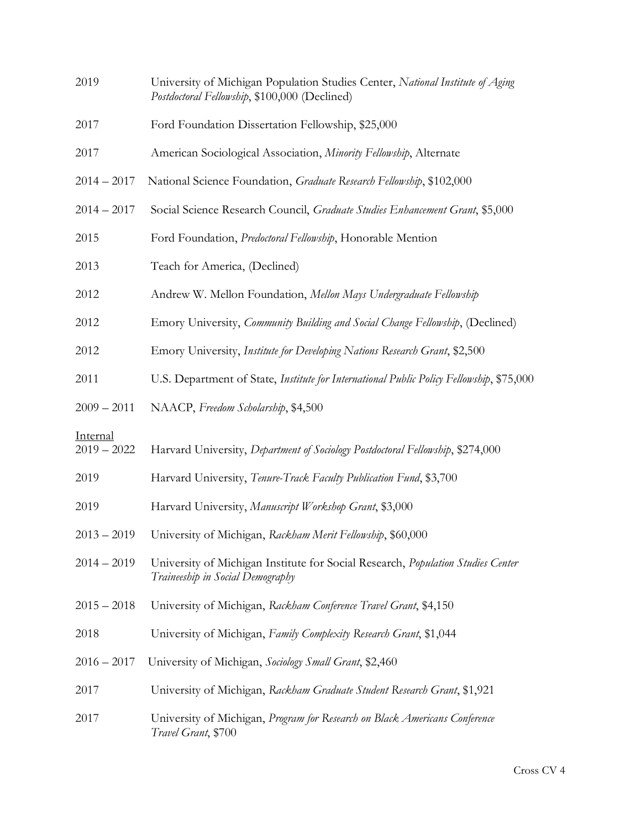| 2019                      | University of Michigan Population Studies Center, National Institute of Aging<br>Postdoctoral Fellowship, \$100,000 (Declined) |
|---------------------------|--------------------------------------------------------------------------------------------------------------------------------|
| 2017                      | Ford Foundation Dissertation Fellowship, \$25,000                                                                              |
| 2017                      | American Sociological Association, Minority Fellowship, Alternate                                                              |
| $2014 - 2017$             | National Science Foundation, Graduate Research Fellowship, \$102,000                                                           |
| $2014 - 2017$             | Social Science Research Council, Graduate Studies Enhancement Grant, \$5,000                                                   |
| 2015                      | Ford Foundation, Predoctoral Fellowship, Honorable Mention                                                                     |
| 2013                      | Teach for America, (Declined)                                                                                                  |
| 2012                      | Andrew W. Mellon Foundation, Mellon Mays Undergraduate Fellowship                                                              |
| 2012                      | Emory University, Community Building and Social Change Fellowship, (Declined)                                                  |
| 2012                      | Emory University, Institute for Developing Nations Research Grant, \$2,500                                                     |
| 2011                      | U.S. Department of State, Institute for International Public Policy Fellowship, \$75,000                                       |
| $2009 - 2011$             | NAACP, Freedom Scholarship, \$4,500                                                                                            |
| Internal<br>$2019 - 2022$ | Harvard University, Department of Sociology Postdoctoral Fellowship, \$274,000                                                 |
| 2019                      | Harvard University, Tenure-Track Faculty Publication Fund, \$3,700                                                             |
| 2019                      | Harvard University, Manuscript Workshop Grant, \$3,000                                                                         |
| $2013 - 2019$             | University of Michigan, Rackham Merit Fellowship, \$60,000                                                                     |
| $2014 - 2019$             | University of Michigan Institute for Social Research, Population Studies Center<br>Traineeship in Social Demography            |
| $2015 - 2018$             | University of Michigan, Rackham Conference Travel Grant, \$4,150                                                               |
| 2018                      | University of Michigan, Family Complexity Research Grant, \$1,044                                                              |
| $2016 - 2017$             | University of Michigan, Sociology Small Grant, \$2,460                                                                         |
| 2017                      | University of Michigan, Rackham Graduate Student Research Grant, \$1,921                                                       |
| 2017                      | University of Michigan, Program for Research on Black Americans Conference<br>Travel Grant, \$700                              |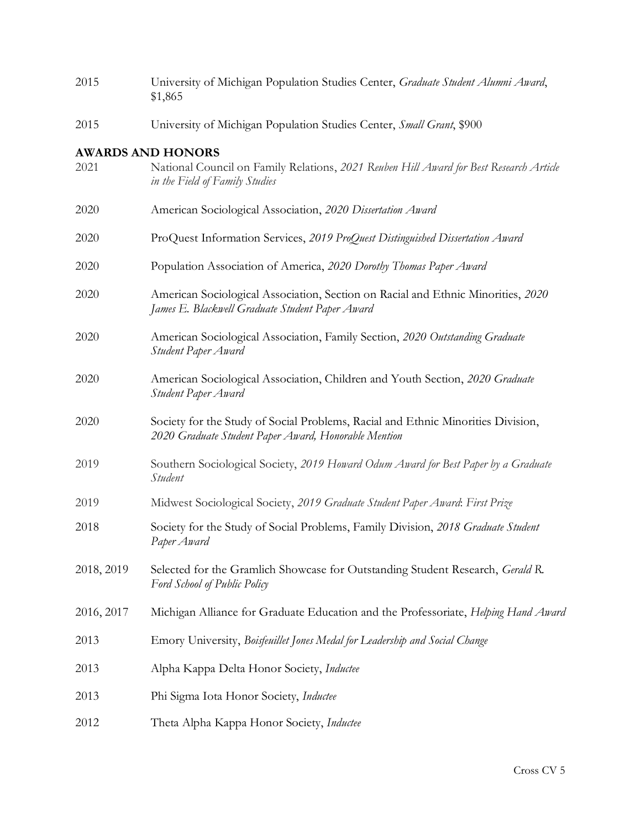| 2015       | University of Michigan Population Studies Center, Graduate Student Alumni Award,<br>\$1,865                                                          |
|------------|------------------------------------------------------------------------------------------------------------------------------------------------------|
| 2015       | University of Michigan Population Studies Center, Small Grant, \$900                                                                                 |
| 2021       | <b>AWARDS AND HONORS</b><br>National Council on Family Relations, 2021 Reuben Hill Award for Best Research Article<br>in the Field of Family Studies |
| 2020       | American Sociological Association, 2020 Dissertation Award                                                                                           |
| 2020       | ProQuest Information Services, 2019 ProQuest Distinguished Dissertation Award                                                                        |
| 2020       | Population Association of America, 2020 Dorothy Thomas Paper Award                                                                                   |
| 2020       | American Sociological Association, Section on Racial and Ethnic Minorities, 2020<br>James E. Blackwell Graduate Student Paper Award                  |
| 2020       | American Sociological Association, Family Section, 2020 Outstanding Graduate<br>Student Paper Award                                                  |
| 2020       | American Sociological Association, Children and Youth Section, 2020 Graduate<br>Student Paper Award                                                  |
| 2020       | Society for the Study of Social Problems, Racial and Ethnic Minorities Division,<br>2020 Graduate Student Paper Award, Honorable Mention             |
| 2019       | Southern Sociological Society, 2019 Howard Odum Award for Best Paper by a Graduate<br>Student                                                        |
| 2019       | Midwest Sociological Society, 2019 Graduate Student Paper Award. First Prize                                                                         |
| 2018       | Society for the Study of Social Problems, Family Division, 2018 Graduate Student<br>Paper Award                                                      |
| 2018, 2019 | Selected for the Gramlich Showcase for Outstanding Student Research, Gerald R.<br>Ford School of Public Policy                                       |
| 2016, 2017 | Michigan Alliance for Graduate Education and the Professoriate, Helping Hand Awara                                                                   |
| 2013       | Emory University, Boisfeuillet Jones Medal for Leadership and Social Change                                                                          |
| 2013       | Alpha Kappa Delta Honor Society, Inductee                                                                                                            |
| 2013       | Phi Sigma Iota Honor Society, Inductee                                                                                                               |
| 2012       | Theta Alpha Kappa Honor Society, Inductee                                                                                                            |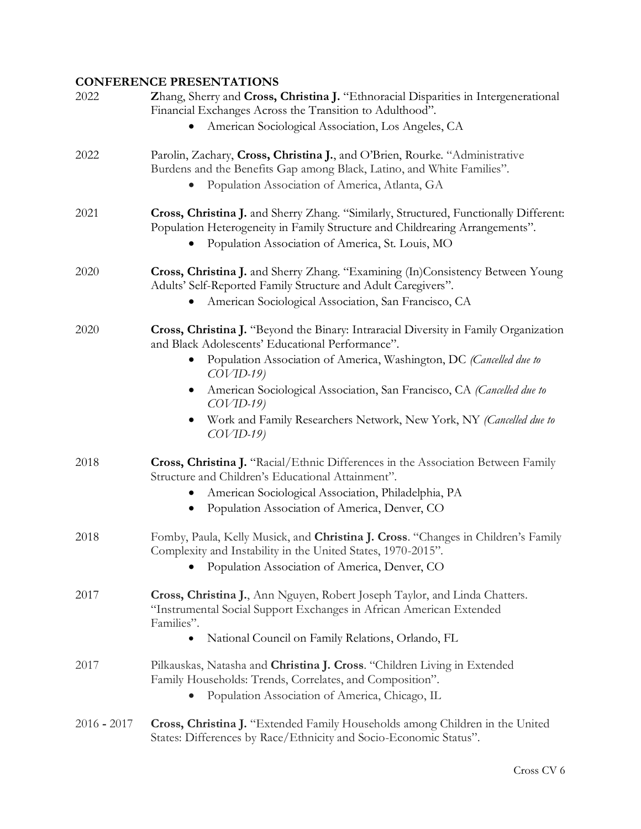### **CONFERENCE PRESENTATIONS**

| 2022          | Zhang, Sherry and Cross, Christina J. "Ethnoracial Disparities in Intergenerational<br>Financial Exchanges Across the Transition to Adulthood".                                                                           |
|---------------|---------------------------------------------------------------------------------------------------------------------------------------------------------------------------------------------------------------------------|
|               | American Sociological Association, Los Angeles, CA                                                                                                                                                                        |
| 2022          | Parolin, Zachary, Cross, Christina J., and O'Brien, Rourke. "Administrative<br>Burdens and the Benefits Gap among Black, Latino, and White Families".<br>Population Association of America, Atlanta, GA                   |
| 2021          | Cross, Christina J. and Sherry Zhang. "Similarly, Structured, Functionally Different:<br>Population Heterogeneity in Family Structure and Childrearing Arrangements".<br>Population Association of America, St. Louis, MO |
| 2020          | Cross, Christina J. and Sherry Zhang. "Examining (In)Consistency Between Young<br>Adults' Self-Reported Family Structure and Adult Caregivers".<br>American Sociological Association, San Francisco, CA                   |
| 2020          | Cross, Christina J. "Beyond the Binary: Intraracial Diversity in Family Organization<br>and Black Adolescents' Educational Performance".                                                                                  |
|               | Population Association of America, Washington, DC (Cancelled due to<br>$COVID-19$                                                                                                                                         |
|               | American Sociological Association, San Francisco, CA (Cancelled due to<br>$COVID-19$                                                                                                                                      |
|               | Work and Family Researchers Network, New York, NY (Cancelled due to<br>$COVID-19$                                                                                                                                         |
| 2018          | Cross, Christina J. "Racial/Ethnic Differences in the Association Between Family<br>Structure and Children's Educational Attainment".                                                                                     |
|               | American Sociological Association, Philadelphia, PA<br>Population Association of America, Denver, CO                                                                                                                      |
|               |                                                                                                                                                                                                                           |
| 2018          | Fomby, Paula, Kelly Musick, and Christina J. Cross. "Changes in Children's Family<br>Complexity and Instability in the United States, 1970-2015".                                                                         |
|               | Population Association of America, Denver, CO                                                                                                                                                                             |
| 2017          | Cross, Christina J., Ann Nguyen, Robert Joseph Taylor, and Linda Chatters.<br>"Instrumental Social Support Exchanges in African American Extended<br>Families".                                                           |
|               | National Council on Family Relations, Orlando, FL<br>$\bullet$                                                                                                                                                            |
| 2017          | Pilkauskas, Natasha and Christina J. Cross. "Children Living in Extended<br>Family Households: Trends, Correlates, and Composition".                                                                                      |
|               | Population Association of America, Chicago, IL                                                                                                                                                                            |
| $2016 - 2017$ | <b>Cross, Christina J.</b> "Extended Family Households among Children in the United<br>States: Differences by Race/Ethnicity and Socio-Economic Status".                                                                  |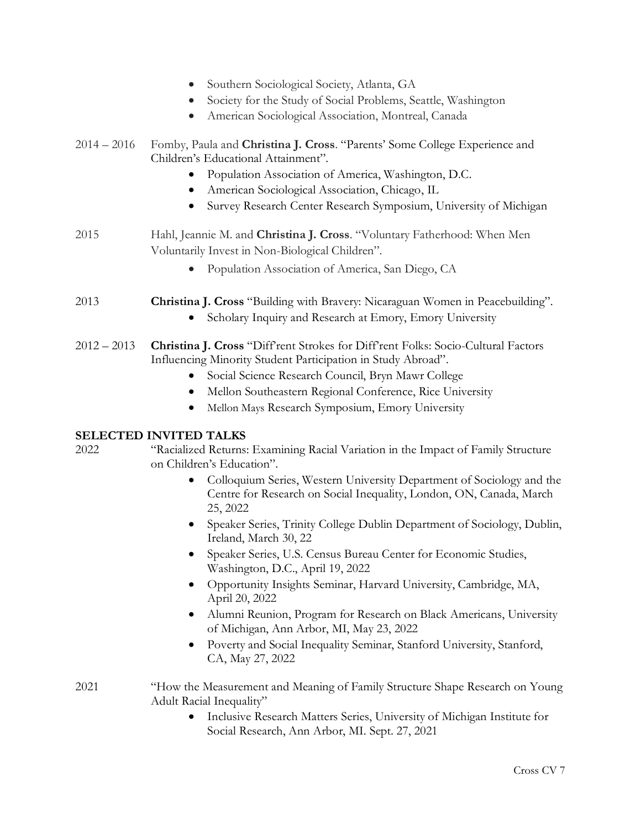- Southern Sociological Society, Atlanta, GA
- Society for the Study of Social Problems, Seattle, Washington
- American Sociological Association, Montreal, Canada
- 2014 2016 Fomby, Paula and **Christina J. Cross**. "Parents' Some College Experience and Children's Educational Attainment".
	- Population Association of America, Washington, D.C.
	- American Sociological Association, Chicago, IL
	- Survey Research Center Research Symposium, University of Michigan
- 2015 Hahl, Jeannie M. and **Christina J. Cross**. "Voluntary Fatherhood: When Men Voluntarily Invest in Non-Biological Children".
	- Population Association of America, San Diego, CA
- 2013 **Christina J. Cross** "Building with Bravery: Nicaraguan Women in Peacebuilding".
	- Scholary Inquiry and Research at Emory, Emory University
- 2012 2013 **Christina J. Cross** "Diff'rent Strokes for Diff'rent Folks: Socio-Cultural Factors Influencing Minority Student Participation in Study Abroad".
	- Social Science Research Council, Bryn Mawr College
	- Mellon Southeastern Regional Conference, Rice University
	- Mellon Mays Research Symposium, Emory University

### **SELECTED INVITED TALKS**

#### 2022 "Racialized Returns: Examining Racial Variation in the Impact of Family Structure on Children's Education".

- Colloquium Series, Western University Department of Sociology and the Centre for Research on Social Inequality, London, ON, Canada, March 25, 2022
- Speaker Series, Trinity College Dublin Department of Sociology, Dublin, Ireland, March 30, 22
- Speaker Series, U.S. Census Bureau Center for Economic Studies, Washington, D.C., April 19, 2022
- Opportunity Insights Seminar, Harvard University, Cambridge, MA, April 20, 2022
- Alumni Reunion, Program for Research on Black Americans, University of Michigan, Ann Arbor, MI, May 23, 2022
- Poverty and Social Inequality Seminar, Stanford University, Stanford, CA, May 27, 2022
- 2021 "How the Measurement and Meaning of Family Structure Shape Research on Young Adult Racial Inequality"
	- Inclusive Research Matters Series, University of Michigan Institute for Social Research, Ann Arbor, MI. Sept. 27, 2021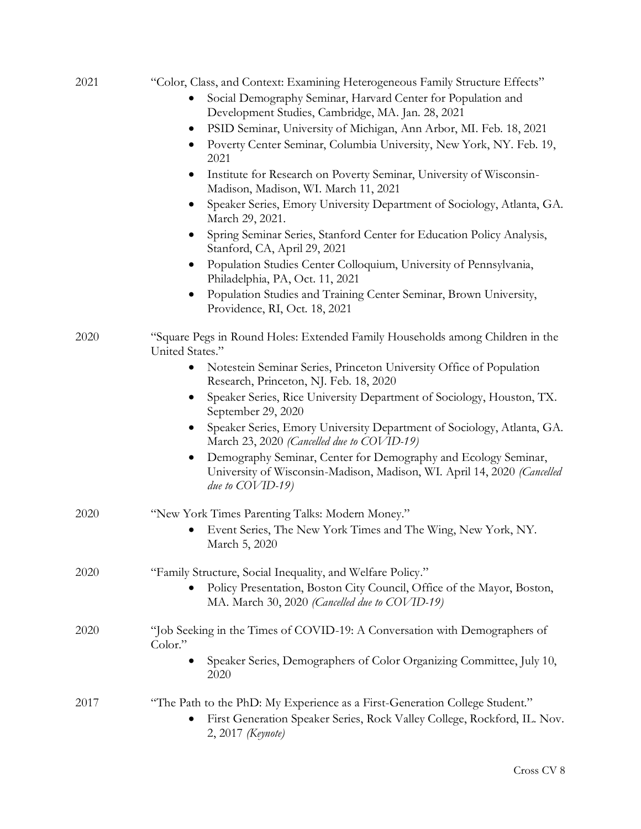| 2021 | "Color, Class, and Context: Examining Heterogeneous Family Structure Effects"                                                                                                 |
|------|-------------------------------------------------------------------------------------------------------------------------------------------------------------------------------|
|      | Social Demography Seminar, Harvard Center for Population and<br>Development Studies, Cambridge, MA. Jan. 28, 2021                                                             |
|      | PSID Seminar, University of Michigan, Ann Arbor, MI. Feb. 18, 2021<br>$\bullet$                                                                                               |
|      | Poverty Center Seminar, Columbia University, New York, NY. Feb. 19,<br>2021                                                                                                   |
|      | Institute for Research on Poverty Seminar, University of Wisconsin-<br>$\bullet$<br>Madison, Madison, WI. March 11, 2021                                                      |
|      | Speaker Series, Emory University Department of Sociology, Atlanta, GA.<br>$\bullet$<br>March 29, 2021.                                                                        |
|      | Spring Seminar Series, Stanford Center for Education Policy Analysis,<br>Stanford, CA, April 29, 2021                                                                         |
|      | Population Studies Center Colloquium, University of Pennsylvania,<br>$\bullet$<br>Philadelphia, PA, Oct. 11, 2021                                                             |
|      | Population Studies and Training Center Seminar, Brown University,<br>$\bullet$<br>Providence, RI, Oct. 18, 2021                                                               |
| 2020 | "Square Pegs in Round Holes: Extended Family Households among Children in the<br>United States."                                                                              |
|      | Notestein Seminar Series, Princeton University Office of Population<br>Research, Princeton, NJ. Feb. 18, 2020                                                                 |
|      | Speaker Series, Rice University Department of Sociology, Houston, TX.<br>September 29, 2020                                                                                   |
|      | Speaker Series, Emory University Department of Sociology, Atlanta, GA.<br>$\bullet$<br>March 23, 2020 (Cancelled due to COVID-19)                                             |
|      | Demography Seminar, Center for Demography and Ecology Seminar,<br>$\bullet$<br>University of Wisconsin-Madison, Madison, WI. April 14, 2020 (Cancelled<br>due to $COVID-19$ ) |
| 2020 | "New York Times Parenting Talks: Modern Money."                                                                                                                               |
|      | Event Series, The New York Times and The Wing, New York, NY.<br>March 5, 2020                                                                                                 |
| 2020 | "Family Structure, Social Inequality, and Welfare Policy."                                                                                                                    |
|      | Policy Presentation, Boston City Council, Office of the Mayor, Boston,<br>MA. March 30, 2020 (Cancelled due to COVID-19)                                                      |
| 2020 | "Job Seeking in the Times of COVID-19: A Conversation with Demographers of<br>Color."                                                                                         |
|      | Speaker Series, Demographers of Color Organizing Committee, July 10,<br>2020                                                                                                  |
| 2017 | "The Path to the PhD: My Experience as a First-Generation College Student."<br>First Generation Speaker Series, Rock Valley College, Rockford, IL. Nov.<br>2, 2017 (Keynote)  |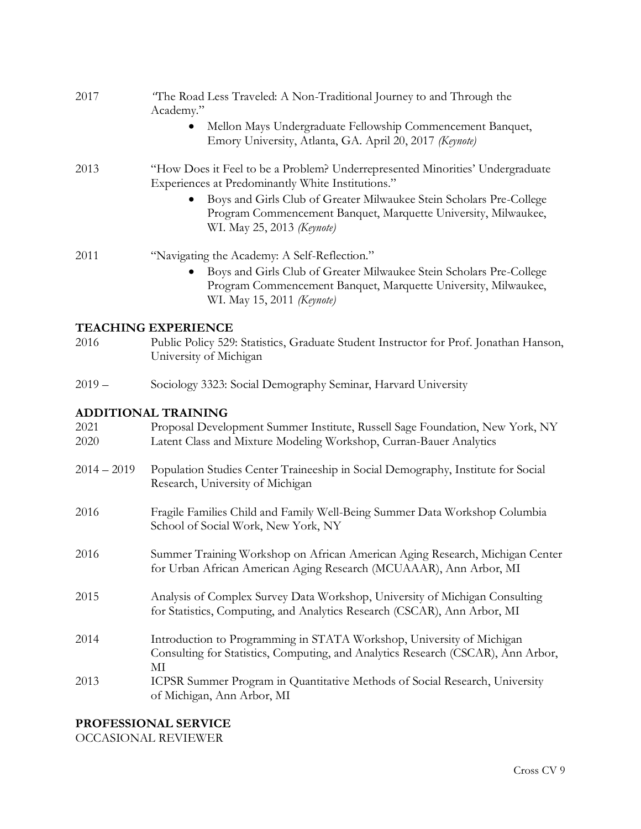| 2017     | "The Road Less Traveled: A Non-Traditional Journey to and Through the<br>Academy."                                                                                               |
|----------|----------------------------------------------------------------------------------------------------------------------------------------------------------------------------------|
|          | Mellon Mays Undergraduate Fellowship Commencement Banquet,<br>Emory University, Atlanta, GA. April 20, 2017 (Keynote)                                                            |
| 2013     | "How Does it Feel to be a Problem? Underrepresented Minorities' Undergraduate<br>Experiences at Predominantly White Institutions."                                               |
|          | Boys and Girls Club of Greater Milwaukee Stein Scholars Pre-College<br>Program Commencement Banquet, Marquette University, Milwaukee,<br>WI. May 25, 2013 (Keynote)              |
| 2011     | "Navigating the Academy: A Self-Reflection."                                                                                                                                     |
|          | Boys and Girls Club of Greater Milwaukee Stein Scholars Pre-College<br>$\bullet$<br>Program Commencement Banquet, Marquette University, Milwaukee,<br>WI. May 15, 2011 (Keynote) |
|          | <b>TEACHING EXPERIENCE</b>                                                                                                                                                       |
| 2016     | Public Policy 529: Statistics, Graduate Student Instructor for Prof. Jonathan Hanson,<br>University of Michigan                                                                  |
| $2019 -$ | Sociology 3323: Social Demography Seminar, Harvard University                                                                                                                    |
|          | ADDITIONAL TRAINING                                                                                                                                                              |

### **ADDITIONAL TRAINING**

| 2021<br>2020  | Proposal Development Summer Institute, Russell Sage Foundation, New York, NY<br>Latent Class and Mixture Modeling Workshop, Curran-Bauer Analytics              |
|---------------|-----------------------------------------------------------------------------------------------------------------------------------------------------------------|
| $2014 - 2019$ | Population Studies Center Traineeship in Social Demography, Institute for Social<br>Research, University of Michigan                                            |
| 2016          | Fragile Families Child and Family Well-Being Summer Data Workshop Columbia<br>School of Social Work, New York, NY                                               |
| 2016          | Summer Training Workshop on African American Aging Research, Michigan Center<br>for Urban African American Aging Research (MCUAAAR), Ann Arbor, MI              |
| 2015          | Analysis of Complex Survey Data Workshop, University of Michigan Consulting<br>for Statistics, Computing, and Analytics Research (CSCAR), Ann Arbor, MI         |
| 2014          | Introduction to Programming in STATA Workshop, University of Michigan<br>Consulting for Statistics, Computing, and Analytics Research (CSCAR), Ann Arbor,<br>МІ |
| 2013          | ICPSR Summer Program in Quantitative Methods of Social Research, University<br>of Michigan, Ann Arbor, MI                                                       |

### **PROFESSIONAL SERVICE**

OCCASIONAL REVIEWER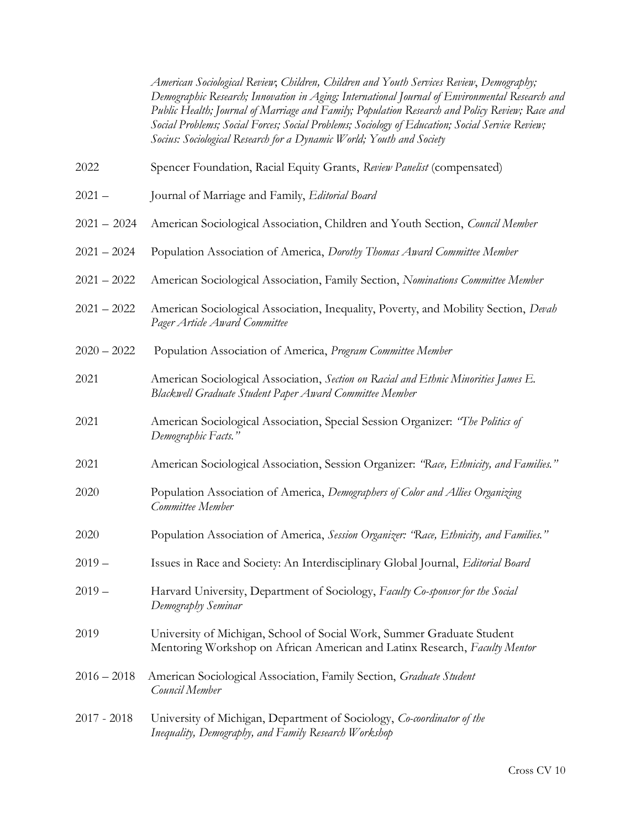*American Sociological Review*; *Children, Children and Youth Services Review*, *Demography; Demographic Research; Innovation in Aging; International Journal of Environmental Research and Public Health; Journal of Marriage and Family; Population Research and Policy Review; Race and Social Problems; Social Forces; Social Problems; Sociology of Education; Social Service Review; Socius: Sociological Research for a Dynamic World; Youth and Society*

- 2022 Spencer Foundation, Racial Equity Grants, *Review Panelist* (compensated)
- 2021 Journal of Marriage and Family, *Editorial Board*
- 2021 2024 American Sociological Association, Children and Youth Section, *Council Member*
- 2021 2024 Population Association of America, *Dorothy Thomas Award Committee Member*
- 2021 2022 American Sociological Association, Family Section, *Nominations Committee Member*
- 2021 2022 American Sociological Association, Inequality, Poverty, and Mobility Section, *Devah Pager Article Award Committee*
- 2020 2022 Population Association of America, *Program Committee Member*
- 2021 American Sociological Association, *Section on Racial and Ethnic Minorities James E. Blackwell Graduate Student Paper Award Committee Member*
- 2021 American Sociological Association, Special Session Organizer: *"The Politics of Demographic Facts."*
- 2021 American Sociological Association, Session Organizer: *"Race, Ethnicity, and Families."*
- 2020 Population Association of America, *Demographers of Color and Allies Organizing Committee Member*
- 2020 Population Association of America, *Session Organizer: "Race, Ethnicity, and Families."*
- 2019 Issues in Race and Society: An Interdisciplinary Global Journal, *Editorial Board*
- 2019 Harvard University, Department of Sociology, *Faculty Co-sponsor for the Social Demography Seminar*
- 2019 University of Michigan, School of Social Work, Summer Graduate Student Mentoring Workshop on African American and Latinx Research, *Faculty Mentor*
- 2016 2018American Sociological Association, Family Section, *Graduate Student Council Member*
- 2017 2018 University of Michigan, Department of Sociology, *Co-coordinator of the Inequality, Demography, and Family Research Workshop*